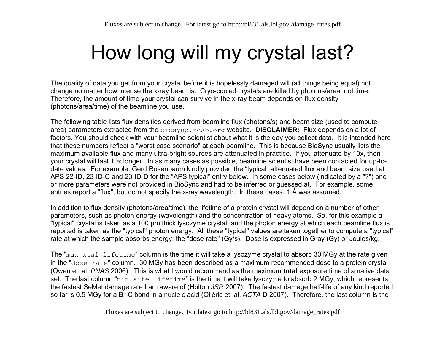# How long will my crystal last?

The quality of data you get from your crystal before it is hopelessly damaged will (all things being equal) not change no matter how intense the x-ray beam is. Cryo-cooled crystals are killed by photons/area, not time. Therefore, the amount of time your crystal can survive in the x-ray beam depends on flux density (photons/area/time) of the beamline you use.

The following table lists flux densities derived from beamline flux (photons/s) and beam size (used to compute area) parameters extracted from the biosync.rcsb.org website. **DISCLAIMER:** Flux depends on a lot of factors. You should check with your beamline scientist about what it is the day you collect data. It is intended here that these numbers reflect a "worst case scenario" at each beamline. This is because BioSync usually lists the maximum available flux and many ultra-bright sources are attenuated in practice. If you attenuate by 10x, then your crystal will last 10x longer. In as many cases as possible, beamline scientist have been contacted for up-todate values. For example, Gerd Rosenbaum kindly provided the "typical" attenuated flux and beam size used at APS 22-ID, 23-ID-C and 23-ID-D for the "APS typical" entry below. In some cases below (indicated by a "?") one or more parameters were not provided in BioSync and had to be inferred or guessed at. For example, some entries report a "flux", but do not specify the x-ray wavelength. In these cases, 1 Å was assumed.

In addition to flux density (photons/area/time), the lifetime of a protein crystal will depend on a number of other parameters, such as photon energy (wavelength) and the concentration of heavy atoms. So, for this example a "typical" crystal is taken as a 100 μm thick lysozyme crystal, and the photon energy at which each beamline flux is reported is taken as the "typical" photon energy. All these "typical" values are taken together to compute a "typical" rate at which the sample absorbs energy: the "dose rate" (Gy/s). Dose is expressed in Gray (Gy) or Joules/kg.

The "max xtal lifetime" column is the time it will take a lysozyme crystal to absorb 30 MGy at the rate given in the "dose rate" column. 30 MGy has been described as a maximum recommended dose to a protein crystal (Owen et. al. *PNAS* 2006). This is what I would recommend as the maximum **total** exposure time of a native data set. The last column "min site lifetime" is the time it will take lysozyme to absorb 2 MGy, which represents the fastest SeMet damage rate I am aware of (Holton *JSR* 2007). The fastest damage half-life of any kind reported so far is 0.5 MGy for a Br-C bond in a nucleic acid (Oliéric et. al. *ACTA* D 2007). Therefore, the last column is the

Fluxes are subject to change. For latest go to http://bl831.als.lbl.gov/damage\_rates.pdf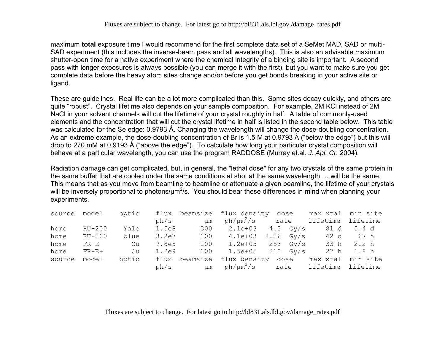maximum **total** exposure time I would recommend for the first complete data set of a SeMet MAD, SAD or multi-SAD experiment (this includes the inverse-beam pass and all wavelengths). This is also an advisable maximum shutter-open time for a native experiment where the chemical integrity of a binding site is important. A second pass with longer exposures is always possible (you can merge it with the first), but you want to make sure you get complete data before the heavy atom sites change and/or before you get bonds breaking in your active site or ligand.

These are guidelines. Real life can be a lot more complicated than this. Some sites decay quickly, and others are quite "robust". Crystal lifetime also depends on your sample composition. For example, 2M KCl instead of 2M NaCl in your solvent channels will cut the lifetime of your crystal roughly in half. A table of commonly-used elements and the concentration that will cut the crystal lifetime in half is listed in the second table below. This table was calculated for the Se edge: 0.9793 Å. Changing the wavelength will change the dose-doubling concentration. As an extreme example, the dose-doubling concentration of Br is 1.5 M at 0.9793 Å ("below the edge") but this will drop to 270 mM at 0.9193 Å ("above the edge"). To calculate how long your particular crystal composition will behave at a particular wavelength, you can use the program RADDOSE (Murray et.al. *J. Apl. Cr.* 2004).

Radiation damage can get complicated, but, in general, the "lethal dose" for any two crystals of the same protein in the same buffer that are cooled under the same conditions at shot at the same wavelength … will be the same. This means that as you move from beamline to beamline or attenuate a given beamline, the lifetime of your crystals will be inversely proportional to photons/um<sup>2</sup>/s. You should bear these differences in mind when planning your experiments.

| source model |                       | optic |       |           | flux beamsize flux density                        | dose max xtal min site |       |
|--------------|-----------------------|-------|-------|-----------|---------------------------------------------------|------------------------|-------|
|              |                       |       | ph/s  | μm        | $ph/\mu m^2/s$ rate lifetime lifetime             |                        |       |
| home         | RU-200                | Yale  |       | 1.5e8 300 | $2.1e+03$ 4.3 Gy/s                                | 81 d                   | 5.4 d |
| home         | RU-200                | blue  | 3.2e7 |           | $100 \t 4.1e+03 \t 8.26 \t Gy/s$                  | 42 d                   | 67 h  |
| home         | $\text{FR}-\text{E}$  | Cu    | 9.8e8 |           | 100 $1.2e+05$ 253 Gy/s                            | 33 h                   | 2.2h  |
| home         | $\text{FR}-\text{E}+$ | Cu    | 1.2e9 | 100       | $1.5e+05$ 310 Gy/s                                | 27 h 1.8 h             |       |
| source       | model                 | optic |       |           | flux beamsize flux density dose max xtal min site |                        |       |
|              |                       |       | ph/s  | µm        | $ph/\mu m^2/s$ rate lifetime lifetime             |                        |       |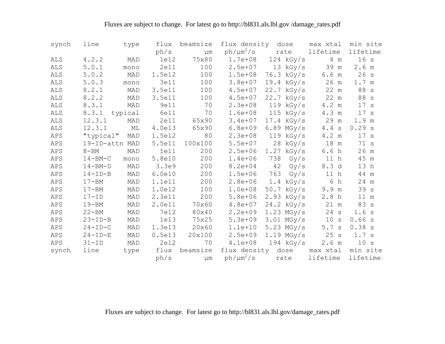| synch      | line           | type    | flux   | beamsize      | flux density   |     | dose         | max xtal        | min site |
|------------|----------------|---------|--------|---------------|----------------|-----|--------------|-----------------|----------|
|            |                |         | ph/s   | μm            | $ph/\mu m^2/s$ |     | rate         | lifetime        | lifetime |
| <b>ALS</b> | 4.2.2          | MAD     | 1e12   | 75x80         | $1.7e + 08$    |     | $124$ kGy/s  | 4 m             | 16s      |
| <b>ALS</b> | 5.0.1          | mono    | 2e11   | 100           | $2.5e + 07$    |     | 13 kGy/s     | 39 m            | 2.6 m    |
| ALS        | 5.0.2          | MAD     | 1.5e12 | 100           | $1.5e + 08$    |     | 76.3 kGy/s   | 6.6 m           | 26s      |
| <b>ALS</b> | 5.0.3          | mono    | 3e11   | 100           | $3.8e + 07$    |     | $19.4$ kGy/s | $26$ m          | 1.7 m    |
| <b>ALS</b> | 8.2.1          | MAD     | 3.5e11 | 100           | $4.5e + 07$    |     | $22.7$ kGy/s | 22 m            | 88 s     |
| ALS        | 8.2.2          | MAD     | 3.5e11 | 100           | $4.5e + 07$    |     | $22.7$ kGy/s | 22 m            | 88 s     |
| <b>ALS</b> | 8.3.1          | MAD     | 9e11   | 70            | $2.3e + 08$    |     | 119 kGy/s    | 4.2 m           | 17 s     |
| <b>ALS</b> | 8.3.1          | typical | 6e11   | 70            | $1.6e + 08$    |     | $115$ kGy/s  | 4.3 m           | 17 s     |
| ALS        | 12.3.1         | MAD     | 2e11   | 65x90         | $3.4e+07$      |     | $17.4$ kGy/s | 29 m            | 1.9 m    |
| ALS        | 12.3.1         | МL      | 4.0e13 | 65x90         | $6.8e + 09$    |     | $6.89$ MGy/s | 4.4 s           | 0.29 s   |
| APS        | "typical"      | MAD     | 1.5e12 | 80            | $2.3e + 08$    |     | $119$ kGy/s  | 4.2 m           | 17 s     |
| APS        | 19-ID-attn MAD |         | 5.5e11 | 100x100       | $5.5e + 07$    |     | $28$ kGy/s   | 18 m            | 71 s     |
| APS        | $8 - BM$       | MAD     | 1e11   | 200           | $2.5e + 06$    |     | $1.27$ kGy/s | 6.6h            | 26 m     |
| APS        | $14 - BM - C$  | mono    | 5.8e10 | 200           | $1.4e + 06$    | 738 | Gy/s         | 11 <sub>h</sub> | 45 m     |
| APS        | $14 - BM - D$  | MAD     | 3.3e9  | 200           | $8.2e + 04$    | 42  | Gy/s         | 8.3 d           | 13 h     |
| APS        | $14-TD-B$      | MAD     | 6.0e10 | 200           | $1.5e + 06$    | 763 | Gy/s         | 11 h            | 44 m     |
| APS        | $17 - BM$      | MAD     | 1.1e11 | 200           | $2.8e + 06$    |     | $1.4$ kGy/s  | 6<br>h          | 24 m     |
| APS        | $17 - BM$      | MAD     | 1.0e12 | 100           | $1.0e + 08$    |     | $50.7$ kGy/s | 9.9 m           | 39s      |
| APS        | $17 - ID$      | MAD     | 2.3e11 | 200           | $5.8e + 06$    |     | $2.93$ kGy/s | 2.8h            | 11 m     |
| APS        | $19 - BM$      | MAD     | 2.0e11 | 70x60         | $4.8e + 07$    |     | $24.2$ kGy/s | 21 m            | 83 s     |
| APS        | $22 - BM$      | MAD     | 7e12   | 80x40         | $2.2e + 09$    |     | $1.23$ MGy/s | 24 s            | 1.6 s    |
| APS        | $23-TD-B$      | MAD     | 1e13   | 75x25         | $5.3e + 09$    |     | $3.01$ MGy/s | 10 s            | 0.66 s   |
| APS        | $24-TD-C$      | MAD     | 1.3e13 | 20x60         | $1.1e + 10$    |     | $5.23$ MGy/s | 5.7 s           | 0.38 s   |
| APS        | $24 - ID - E$  | MAD     | 0.5e13 | 20x100        | $2.5e + 09$    |     | $1.19$ MGy/s | 25 s            | 1.7 s    |
| APS        | $31 - ID$      | MAD     | 2e12   | 70            | $4.1e+08$      |     | $194$ kGy/s  | 2.6 m           | 10 s     |
| synch      | line           | type    |        | flux beamsize | flux density   |     | dose         | max xtal        | min site |
|            |                |         | ph/s   | μm            | $ph/\mu m^2/s$ |     | rate         | lifetime        | lifetime |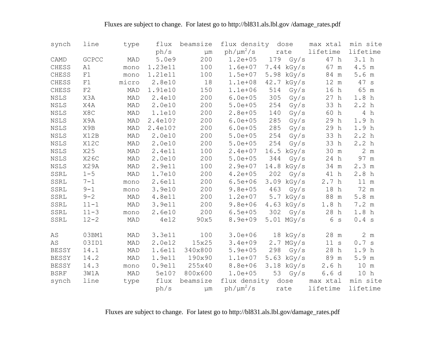| synch                        | line        | type  | flux    | beamsize | flux density   |      | dose         | max xtal         | min site         |
|------------------------------|-------------|-------|---------|----------|----------------|------|--------------|------------------|------------------|
|                              |             |       | ph/s    | μm       | $ph/\mu m^2/s$ |      | rate         | lifetime         | lifetime         |
| CAMD                         | GCPCC       | MAD   | 5.0e9   | 200      | $1.2e + 05$    | 179  | Gy/s         | 47 h             | 3.1 <sub>h</sub> |
| CHESS                        | A1          | mono  | 1.23e11 | 100      | $1.6e + 07$    | 7.44 | kGy/s        | 67 m             | 4.5 m            |
| CHESS                        | F1          | mono  | 1.21e11 | 100      | $1.5e + 07$    | 5.98 | kGy/s        | 84 m             | 5.6 m            |
| CHESS                        | F1          | micro | 2.8e10  | 18       | $1.1e + 08$    | 42.7 | kGy/s        | 12 m             | 47 s             |
| CHESS                        | $\rm F2$    | MAD   | 1.91e10 | 150      | $1.1e + 06$    | 514  | Gy/s         | 16 h             | 65 m             |
| <b>NSLS</b>                  | X3A         | MAD   | 2.4e10  | 200      | $6.0e + 05$    | 305  | Gy/s         | 27 h             | 1.8h             |
| <b>NSLS</b>                  | X4A         | MAD   | 2.0e10  | 200      | $5.0e + 05$    | 254  | Gy/s         | 33 h             | 2.2 <sub>h</sub> |
| <b>NSLS</b>                  | X8C         | MAD   | 1.1e10  | 200      | $2.8e + 05$    | 140  | Gy/s         | 60 h             | 4 $h$            |
| NSLS                         | X9A         | MAD   | 2.4e10? | 200      | $6.0e + 05$    | 285  | Gy/s         | 29 h             | 1.9 <sub>h</sub> |
| <b>NSLS</b>                  | X9B         | MAD   | 2.4e10? | 200      | $6.0e + 05$    | 285  | Gy/s         | 29 h             | 1.9h             |
| <b>NSLS</b>                  | X12B        | MAD   | 2.0e10  | 200      | $5.0e + 05$    | 254  | Gy/s         | 33 h             | 2.2 <sub>h</sub> |
| NSLS                         | X12C        | MAD   | 2.0e10  | 200      | $5.0e + 05$    | 254  | Gy/s         | 33 h             | 2.2 <sub>h</sub> |
| NSLS                         | X25         | MAD   | 2.4e11  | 100      | $2.4e+07$      | 16.5 | kGy/s        | 30 m             | 2 m              |
| NSLS                         | <b>X26C</b> | MAD   | 2.0e10  | 200      | $5.0e + 05$    | 344  | Gy/s         | 24 h             | 97 m             |
| $\ensuremath{\mathsf{NSLS}}$ | X29A        | MAD   | 2.9e11  | 100      | $2.9e + 07$    | 14.8 | kGy/s        | $34 \text{ m}$   | 2.3 m            |
| SSRL                         | $1 - 5$     | MAD   | 1.7e10  | 200      | $4.2e + 05$    | 202  | Gy/s         | 41 h             | 2.8h             |
| SSRL                         | $7 - 1$     | mono  | 2.6e11  | 200      | $6.5e + 06$    |      | $3.09$ kGy/s | 2.7h             | 11 m             |
| SSRL                         | $9 - 1$     | mono  | 3.9e10  | 200      | $9.8e + 05$    | 463  | Gy/s         | 18 h             | 72 m             |
| SSRL                         | $9 - 2$     | MAD   | 4.8e11  | 200      | $1.2e + 07$    |      | $5.7$ kGy/s  | 88 m             | 5.8~m            |
| SSRL                         | $11 - 1$    | MAD   | 3.9e11  | 200      | $9.8e + 06$    |      | $4.63$ kGy/s | 1.8 <sub>h</sub> | 7.2 m            |
| SSRL                         | $11 - 3$    | mono  | 2.6e10  | 200      | $6.5e + 05$    | 302  | Gy/s         | $28\,$ h         | 1.8h             |
| SSRL                         | $12 - 2$    | MAD   | 4e12    | 90x5     | 8.9e+09        |      | $5.01$ MGy/s | 6<br>$\mathbf S$ | 0.4 s            |
| AS                           | 03BM1       | MAD   | 3.3e11  | 100      | $3.0e + 06$    |      | $18$ kGy/s   | 28 m             | 2 m              |
| AS                           | 03ID1       | MAD   | 2.0e12  | 15x25    | $3.4e + 09$    |      | $2.7$ MGy/s  | 11 s             | 0.7 s            |
| <b>BESSY</b>                 | 14.1        | MAD   | 1.6e11  | 340x800  | $5.9e + 05$    | 298  | Gy/s         | 28 h             | 1.9 h            |
| <b>BESSY</b>                 | 14.2        | MAD   | 1.9e11  | 190x90   | $1.1e+07$      | 5.63 | kGy/s        | 89 m             | 5.9 m            |
| <b>BESSY</b>                 | 14.3        | mono  | 0.9e11  | 255x40   | $8.8e + 06$    | 3.18 | kGy/s        | 2.6h             | 10 m             |
| <b>BSRF</b>                  | 3W1A        | MAD   | 5e10?   | 800x600  | $1.0e + 05$    | 53   | Gy/s         | 6.6d             | 10 <sub>h</sub>  |
| synch                        | line        | type  | flux    | beamsize | flux density   |      | dose         | max xtal         | min site         |
|                              |             |       | ph/s    | μm       | $ph/\mu m^2/s$ |      | rate         | lifetime         | lifetime         |
|                              |             |       |         |          |                |      |              |                  |                  |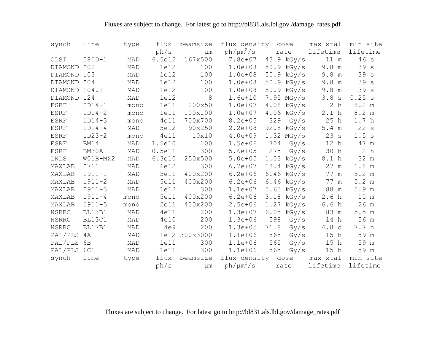| synch          | line        | type | flux   | beamsize      | flux density   |      | dose         | max xtal            | min site         |
|----------------|-------------|------|--------|---------------|----------------|------|--------------|---------------------|------------------|
|                |             |      | ph/s   | $\mu$ m       | $ph/\mu m^2/s$ |      | rate         | lifetime            | lifetime         |
| CLSI           | $08ID-1$    | MAD  | 6.5e12 | 167x500       | 7.8e+07        |      | 43.9 kGy/s   | 11 m                | 46s              |
| DIAMOND        | I02         | MAD  | 1e12   | 100           | $1.0e + 08$    |      | $50.9$ kGy/s | 9.8 m               | 39s              |
| DIAMOND        | I03         | MAD  | 1e12   | 100           | $1.0e + 08$    |      | $50.9$ kGy/s | 9.8 m               | 39s              |
| DIAMOND        | IO4         | MAD  | 1e12   | 100           | $1.0e + 08$    |      | $50.9$ kGy/s | 9.8 m               | 39s              |
| DIAMOND        | I04.1       | MAD  | 1e12   | 100           | $1.0e + 08$    |      | $50.9$ kGy/s | 9.8 m               | 39s              |
| <b>DIAMOND</b> | I24         | MAD  | 1e12   | 8             | $1.6e + 10$    |      | $7.95$ MGy/s | 3.8<br>$\,$ S       | 0.25 s           |
| <b>ESRF</b>    | $ID14-1$    | mono | 1e11   | 200x50        | $1.0e + 07$    |      | $4.08$ kGy/s | $\overline{2}$<br>h | 8.2 m            |
| <b>ESRF</b>    | $ID14-2$    | mono | 1e11   | 100x100       | $1.0e + 07$    |      | $4.06$ kGy/s | 2.1 <sub>h</sub>    | 8.2 m            |
| <b>ESRF</b>    | $ID14-3$    | mono | 4e11   | 700x700       | $8.2e + 05$    | 329  | Gy/s         | 25 h                | 1.7 <sub>h</sub> |
| ESRF           | $ID14-4$    | MAD  | 5e12   | 90x250        | $2.2e + 08$    | 92.5 | kGy/s        | 5.4 m               | 22 s             |
| ESRF           | $ID23-2$    | mono | 4e11   | 10x10         | $4.0e + 09$    |      | $1.32$ MGy/s | 23 s                | 1.5 s            |
| <b>ESRF</b>    | <b>BM14</b> | MAD  | 1.5e10 | 100           | $1.5e + 06$    | 704  | Gy/s         | 12 h                | 47 m             |
| ESRF           | BM30A       | MAD  | 0.5e11 | 300           | $5.6e + 05$    | 275  | Gy/s         | 30 h                | 2 h              |
| LNLS           | W01B-MX2    | MAD  | 6.3e10 | 250x500       | $5.0e + 05$    |      | $1.03$ kGy/s | 8.1 h               | 32 m             |
| MAXLAB         | I711        | MAD  | 6e12   | 300           | $6.7e + 07$    |      | $18.4$ kGy/s | 27 m                | 1.8 m            |
| MAXLAB         | $I911 - 1$  | MAD  | 5e11   | 400x200       | $6.2e + 06$    |      | $6.46$ kGy/s | 77<br>${\rm m}$     | 5.2 m            |
| MAXLAB         | $I911 - 2$  | MAD  | 5e11   | 400x200       | $6.2e + 06$    |      | $6.46$ kGy/s | 77<br>m             | 5.2 m            |
| MAXLAB         | $I911 - 3$  | MAD  | 1e12   | 300           | $1.1e+07$      |      | $5.65$ kGy/s | 88<br>m             | 5.9 m            |
| MAXLAB         | $I911 - 4$  | mono | 5e11   | 400x200       | $6.2e + 06$    |      | $3.18$ kGy/s | 2.6h                | 10 m             |
| MAXLAB         | $I911 - 5$  | mono | 2e11   | 400x200       | $2.5e + 06$    |      | $1.27$ kGy/s | 6.6h                | 26 m             |
| <b>NSRRC</b>   | BL13B1      | MAD  | 4e11   | 200           | $1.3e + 07$    |      | $6.05$ kGy/s | 83 m                | 5.5 m            |
| <b>NSRRC</b>   | BL13C1      | MAD  | 4e10   | 200           | $1.3e + 06$    | 598  | Gy/s         | 14 h                | 56 m             |
| <b>NSRRC</b>   | BL17B1      | MAD  | 4e9    | 200           | $1.3e + 05$    | 71.8 | Gy/s         | 4.8 d               | 7.7 h            |
| PAL/PLS        | 4A          | MAD  |        | 1e12 300x3000 | $1.1e + 06$    | 565  | Gy/s         | 15 h                | 59 m             |
| PAL/PLS        | 6B          | MAD  | 1e11   | 300           | $1.1e + 06$    | 565  | Gy/s         | 15 h                | 59 m             |
| PAL/PLS        | 6C1         | MAD  | 1e11   | 300           | $1.1e + 06$    | 565  | Gy/s         | 15 <sub>h</sub>     | 59 m             |
| synch          | line        | type | flux   | beamsize      | flux density   |      | dose         | max xtal            | min site         |
|                |             |      | ph/s   | um            | $ph/\mu m^2/s$ |      | rate         | lifetime            | lifetime         |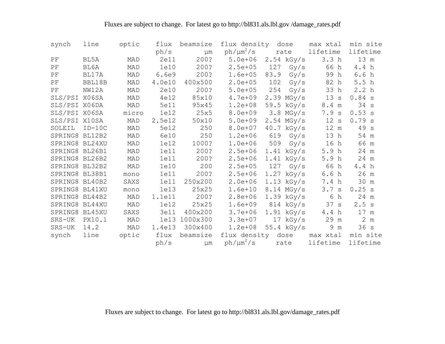| synch          | line     | optic | flux   | beamsize      | flux density dose |      |              | max xtal         | min site         |
|----------------|----------|-------|--------|---------------|-------------------|------|--------------|------------------|------------------|
|                |          |       | ph/s   | μm            | $ph/\mu m^2/s$    |      | rate         | lifetime         | lifetime         |
| ΡF             | BL5A     | MAD   | 2e11   | 200?          | $5.0e + 06$       |      | $2.54$ kGy/s | 3.3 <sub>h</sub> | 13 m             |
| PF             | BL6A     | MAD   | 1e10   | 200?          | $2.5e + 05$       | 127  | Gy/s         | 66 h             | 4.4 h            |
| PF             | BL17A    | MAD   | 6.6e9  | 200?          | $1.6e + 05$       | 83.9 | Gy/s         | 99 h             | 6.6h             |
| PF             | BBL18B   | MAD   | 4.0e10 | 400x500       | $2.0e + 05$       | 102  | Gy/s         | 82 h             | 5.5h             |
| PF             | NW12A    | MAD   | 2e10   | 200?          | $5.0e + 05$       | 254  | Gy/s         | 33 h             | 2.2 <sub>h</sub> |
| SLS/PSI X06SA  |          | MAD   | 4e12   | 85x10         | $4.7e + 09$       |      | $2.39$ MGy/s | 13 s             | 0.84 s           |
| SLS/PSI X06DA  |          | MAD   | 5e11   | 95x45         | $1.2e + 08$       |      | 59.5 kGy/s   | 8.4 m            | 34 s             |
| SLS/PSI X06SA  |          | micro | 1e12   | 25x5          | $8.0e + 09$       |      | $3.8$ MGy/s  | 7.9 s            | 0.53 s           |
| SLS/PSI X10SA  |          | MAD   | 2.5e12 | 50x10         | $5.0e + 09$       |      | $2.54$ MGy/s | 12 s             | 0.79 s           |
| SOLEIL         | $ID-10C$ | MAD   | 5e12   | 250           | 8.0e+07           |      | $40.7$ kGy/s | 12 m             | 49 s             |
| SPRING8 BL12B2 |          | MAD   | 6e10   | 250           | $1.2e + 06$       | 619  | Gy/s         | 13 h             | 54 m             |
| SPRING8 BL24XU |          | MAD   | 1e12   | 1000?         | $1.0e + 06$       | 509  | Gy/s         | 16 h             | 66 m             |
| SPRING8 BL26B1 |          | MAD   | 1e11   | 200?          | $2.5e + 06$       |      | $1.41$ kGy/s | 5.9 h            | 24 m             |
| SPRING8 BL26B2 |          | MAD   | 1e11   | 200?          | $2.5e + 06$       |      | $1.41$ kGy/s | 5.9 <sub>h</sub> | 24 m             |
| SPRING8 BL32B2 |          | MAD   | 1e10   | 200           | $2.5e + 05$       | 127  | Gy/s         | 66 h             | 4.4 h            |
| SPRING8 BL38B1 |          | mono  | 1e11   | 200?          | $2.5e + 06$       |      | $1.27$ kGy/s | 6.6h             | 26 m             |
| SPRING8 BL40B2 |          | SAXS  | 1e11   | 250x200       | $2.0e + 06$       |      | $1.13$ kGy/s | 7.4 h            | 30 m             |
| SPRING8 BL41XU |          | mono  | 1e13   | 25x25         | $1.6e + 10$       |      | $8.14$ MGy/s | 3.7 s            | 0.25 s           |
| SPRING8 BL44B2 |          | MAD   | 1.1e11 | 200?          | $2.8e + 06$       |      | $1.39$ kGy/s | 6<br>h           | 24 m             |
| SPRING8 BL44XU |          | MAD   | 1e12   | 25x25         | $1.6e + 09$       |      | 814 kGy/s    | 37 s             | 2.5 s            |
| SPRING8        | BL45XU   | SAXS  | 3e11   | 400x200       | $3.7e + 06$       |      | $1.91$ kGy/s | 4.4 h            | 17 m             |
| SRS-UK         | PX10.1   | MAD   |        | 1e13 1000x300 | $3.3e + 07$       |      | $17$ kGy/s   | 29 m             | 2 <sub>m</sub>   |
| SRS-UK         | 14.2     | MAD   | 1.4e13 | 300x400       | $1.2e + 08$       |      | $55.4$ kGy/s | 9<br>${\rm m}$   | 36s              |
| synch          | line     | optic | flux   | beamsize      | flux density dose |      |              | max xtal         | min site         |
|                |          |       | ph/s   | $\mu$ m       | $ph/\mu m^2/s$    |      | rate         | lifetime         | lifetime         |

Fluxes are subject to change. For latest go to http://bl831.als.lbl.gov/damage\_rates.pdf